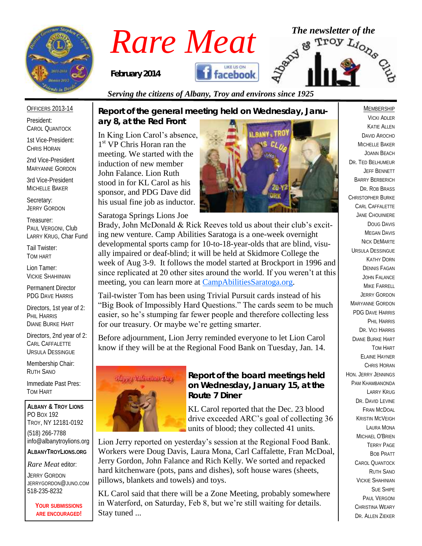

# *Rare Meat* The newsletter of the **Rare Meat** of the strong of  $R_{\text{2D}}$   $\mathbb{R}^{\text{2D}}$   $\mathbb{R}^{\text{2D}}$

*February 2014* 



#### OFFICERS 2013-14

President: CAROL QUANTOCK

1st Vice-President: CHRIS HORAN

2nd Vice-President MARYANNE GORDON

3rd Vice-President MICHELLE BAKER

Secretary: JERRY GORDON

Treasurer: PAUL VERGONI, Club LARRY KRUG, Char Fund

Tail Twister: TOM HART

Lion Tamer: VICKIE SHAHIINIAN

Permanent Director PDG DAVE HARRIS

Directors, 1st year of 2: PHIL HARRIS DIANE BURKE HART

Directors, 2nd year of 2: CARL CAFFALETTE URSULA DESSINGUE

Membership Chair: RUTH SANO

Immediate Past Pres: TOM HART

**ALBANY & TROY LIONS** PO BOX 192 TROY, NY 12181-0192 (518) 266-7788 info@albanytroylions.org **ALBANYTROYLIONS.ORG**

*Rare Meat* editor:

JERRY GORDON JERRYGORDON@JUNO.COM 518-235-8232

> **YOUR SUBMISSIONS ARE ENCOURAGED!**

*Report of the general meeting held on Wednesday, January 8, at the Red Front* 

*Serving the citizens of Albany, Troy and environs since 1925*

In King Lion Carol's absence, 1<sup>st</sup> VP Chris Horan ran the meeting. We started with the induction of new member John Falance. Lion Ruth stood in for KL Carol as his sponsor, and PDG Dave did his usual fine job as inductor.

Saratoga Springs Lions Joe



Brady, John McDonald & Rick Reeves told us about their club's exciting new venture. Camp Abilities Saratoga is a one-week overnight developmental sports camp for 10-to-18-year-olds that are blind, visually impaired or deaf-blind; it will be held at Skidmore College the week of Aug 3-9. It follows the model started at Brockport in 1996 and since replicated at 20 other sites around the world. If you weren't at this meeting, you can learn more at [CampAbilitiesSaratoga.org.](http://campabilitiessaratoga.org/) 

Tail-twister Tom has been using Trivial Pursuit cards instead of his "Big Book of Impossibly Hard Questions." The cards seem to be much easier, so he's stumping far fewer people and therefore collecting less for our treasury. Or maybe we're getting smarter.

Before adjournment, Lion Jerry reminded everyone to let Lion Carol know if they will be at the Regional Food Bank on Tuesday, Jan. 14.



*Report of the board meetings held on Wednesday, January 15, at the Route 7 Diner* 

KL Carol reported that the Dec. 23 blood drive exceeded ARC's goal of collecting 36 units of blood; they collected 41 units.

Lion Jerry reported on yesterday's session at the Regional Food Bank. Workers were Doug Davis, Laura Mona, Carl Caffalette, Fran McDoal, Jerry Gordon, John Falance and Rich Kelly. We sorted and repacked hard kitchenware (pots, pans and dishes), soft house wares (sheets, pillows, blankets and towels) and toys.

KL Carol said that there will be a Zone Meeting, probably somewhere in Waterford, on Saturday, Feb 8, but we're still waiting for details. Stay tuned ...

#### VICKI ADLER KATIE ALLEN DAVID AROCHO MICHELLE BAKER JOANN BEACH DR. TED BELHUMEUR JEFF BENNETT BARRY BERBERICH DR. ROB BRASS CHRISTOPHER BURKE CARL CAFFALETTE JANE CHOUINIERE DOUG DAVIS **MEGAN DAVIS** NICK DEMARTE URSULA DESSINGUE KATHY DORN DENNIS FAGAN JOHN FALANCE MIKE FARRELL JERRY GORDON MARYANNE GORDON PDG DAVE HARRIS PHIL HARRIS DR. VICI HARRIS DIANE BURKE HART TOM HART ELAINE HAYNER CHRIS HORAN HON. JERRY JENNINGS PAM KHAMBANONDA LARRY KRUG DR. DAVID I FVINE FRAN MCDOAL KRISTIN MCVEIGH LAURA MONA MICHAEL O'BRIEN TERRY PAGE BOB PRATT CAROL QUANTOCK RUTH SANO VICKIE SHAHINIAN SUE SHIPE PAUL VERGONI CHRISTINA WEARY DR. ALLEN ZIEKER

MEMBERSHIP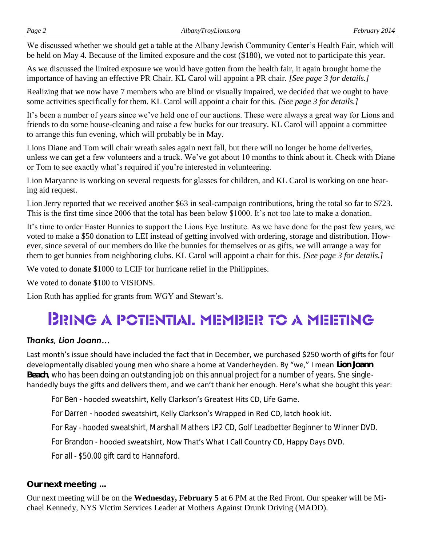We discussed whether we should get a table at the Albany Jewish Community Center's Health Fair, which will be held on May 4. Because of the limited exposure and the cost (\$180), we voted not to participate this year.

As we discussed the limited exposure we would have gotten from the health fair, it again brought home the importance of having an effective PR Chair. KL Carol will appoint a PR chair. *[See page 3 for details.]*

Realizing that we now have 7 members who are blind or visually impaired, we decided that we ought to have some activities specifically for them. KL Carol will appoint a chair for this. *[See page 3 for details.]*

It's been a number of years since we've held one of our auctions. These were always a great way for Lions and friends to do some house-cleaning and raise a few bucks for our treasury. KL Carol will appoint a committee to arrange this fun evening, which will probably be in May.

Lions Diane and Tom will chair wreath sales again next fall, but there will no longer be home deliveries, unless we can get a few volunteers and a truck. We've got about 10 months to think about it. Check with Diane or Tom to see exactly what's required if you're interested in volunteering.

Lion Maryanne is working on several requests for glasses for children, and KL Carol is working on one hearing aid request.

Lion Jerry reported that we received another \$63 in seal-campaign contributions, bring the total so far to \$723. This is the first time since 2006 that the total has been below \$1000. It's not too late to make a donation.

It's time to order Easter Bunnies to support the Lions Eye Institute. As we have done for the past few years, we voted to make a \$50 donation to LEI instead of getting involved with ordering, storage and distribution. However, since several of our members do like the bunnies for themselves or as gifts, we will arrange a way for them to get bunnies from neighboring clubs. KL Carol will appoint a chair for this. *[See page 3 for details.]*

We voted to donate \$1000 to LCIF for hurricane relief in the Philippines.

We voted to donate \$100 to VISIONS.

Lion Ruth has applied for grants from WGY and Stewart's.

## **BRING A POTENTIAL MEMBER TO A MEETING**

#### *Thanks, Lion Joann…*

Last month's issue should have included the fact that in December, we purchased \$250 worth of gifts for four developmentally disabled young men who share a home at Vanderheyden. By "we," I mean **Lion Joann Beach**, who has been doing an outstanding job on this annual project for a number of years. She singlehandedly buys the gifts and delivers them, and we can't thank her enough. Here's what she bought this year:

For Ben - hooded sweatshirt, Kelly Clarkson's Greatest Hits CD, Life Game.

For Darren - hooded sweatshirt, Kelly Clarkson's Wrapped in Red CD, latch hook kit.

For Ray - hooded sweatshirt, Marshall Mathers LP2 CD, Golf Leadbetter Beginner to Winner DVD.

For Brandon - hooded sweatshirt, Now That's What I Call Country CD, Happy Days DVD.

For all - \$50.00 gift card to Hannaford.

*Our next meeting ...*

Our next meeting will be on the **Wednesday, February 5** at 6 PM at the Red Front. Our speaker will be Michael Kennedy, NYS Victim Services Leader at Mothers Against Drunk Driving (MADD).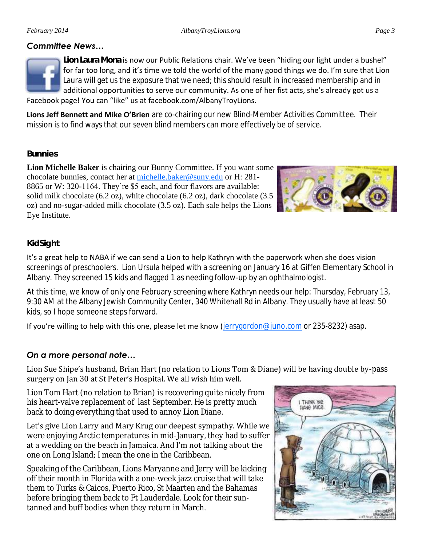

**Lion Laura Mona** is now our Public Relations chair. We've been "hiding our light under a bushel" for far too long, and it's time we told the world of the many good things we do. I'm sure that Lion Laura will get us the exposure that we need; this should result in increased membership and in additional opportunities to serve our community. As one of her fist acts, she's already got us a Facebook page! You can "like" us at facebook.com/AlbanyTroyLions.

**Lions Jeff Bennett and Mike O'Brien** are co-chairing our new Blind-Member Activities Committee. Their mission is to find ways that our seven blind members can more effectively be of service.

#### *Bunnies*

**Lion Michelle Baker** is chairing our Bunny Committee. If you want some chocolate bunnies, contact her at [michelle.baker@suny.edu](mailto:michelle.baker@suny.edu) or H: 281- 8865 or W: 320-1164. They're \$5 each, and four flavors are available: solid milk chocolate (6.2 oz), white chocolate (6.2 oz), dark chocolate (3.5 oz) and no-sugar-added milk chocolate (3.5 oz). Each sale helps the Lions Eye Institute.



#### *KidSight*

It's a great help to NABA if we can send a Lion to help Kathryn with the paperwork when she does vision screenings of preschoolers. Lion Ursula helped with a screening on January 16 at Giffen Elementary School in Albany. They screened 15 kids and flagged 1 as needing follow-up by an ophthalmologist.

At this time, we know of only one February screening where Kathryn needs our help: Thursday, February 13, 9:30 AM at the Albany Jewish Community Center, 340 Whitehall Rd in Albany. They usually have at least 50 kids, so I hope someone steps forward.

If you're willing to help with this one, please let me know ( $jerryqordon@juno.com$  or 235-8232) asap.

#### *On a more personal note…*

Lion Sue Shipe's husband, Brian Hart (no relation to Lions Tom & Diane) will be having double by-pass surgery on Jan 30 at St Peter's Hospital. We all wish him well.

Lion Tom Hart (no relation to Brian) is recovering quite nicely from his heart-valve replacement of last September. He is pretty much back to doing everything that used to annoy Lion Diane.

Let's give Lion Larry and Mary Krug our deepest sympathy. While we were enjoying Arctic temperatures in mid-January, they had to suffer at a wedding on the beach in Jamaica. And I'm not talking about the one on Long Island; I mean the one in the Caribbean.

Speaking of the Caribbean, Lions Maryanne and Jerry will be kicking off their month in Florida with a one-week jazz cruise that will take them to Turks & Caicos, Puerto Rico, St Maarten and the Bahamas before bringing them back to Ft Lauderdale. Look for their suntanned and buff bodies when they return in March.

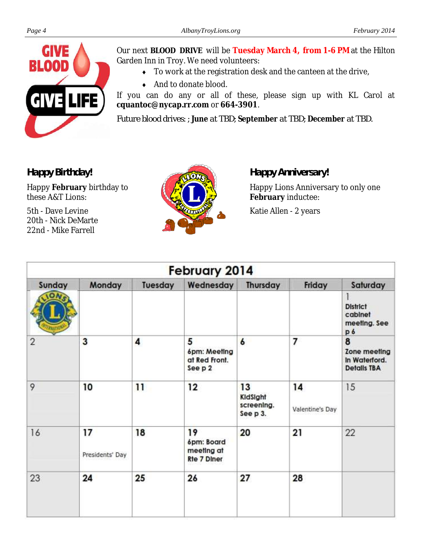

Our next **BLOOD DRIVE** will be **Tuesday March 4, from 1-6 PM** at the Hilton Garden Inn in Troy. We need volunteers:

- To work at the registration desk and the canteen at the drive,
- ◆ And to donate blood.

If you can do any or all of these, please sign up with KL Carol at **cquantoc@nycap.rr.com** or **664-3901**.

*Future blood drives: ; June at TBD; September at TBD; December at TBD.*

*Happy Birthday!*

Happy **February** birthday to these A&T Lions:

5th - Dave Levine 20th - Nick DeMarte 22nd - Mike Farrell



*Happy Anniversary!*

Happy Lions Anniversary to only one **February** inductee:

Katie Allen - 2 years

| February 2014  |                       |         |                                                      |                                          |                       |                                                          |
|----------------|-----------------------|---------|------------------------------------------------------|------------------------------------------|-----------------------|----------------------------------------------------------|
| Sunday         | Monday                | Tuesday | Wednesday                                            | Thursday                                 | Friday                | Saturday                                                 |
|                |                       |         |                                                      |                                          |                       | <b>District</b><br>cabinet<br>meeting. See<br>p6         |
| $\overline{2}$ | 3                     | 4       | 5<br>6pm: Meeting<br>at Red Front.<br>See p 2        | 6                                        | 7                     | 8<br>Zone meeting<br>In Waterford.<br><b>Details TBA</b> |
| 9              | 10                    | 11      | 12                                                   | 13<br>KidSight<br>screening.<br>See p 3. | 14<br>Valentine's Day | 15                                                       |
| 16             | 17<br>Presidents' Day | 18      | 19<br>6pm: Board<br>meeting at<br><b>Rte 7 Diner</b> | 20                                       | 21                    | 22                                                       |
| 23             | 24                    | 25      | 26                                                   | 27                                       | 28                    |                                                          |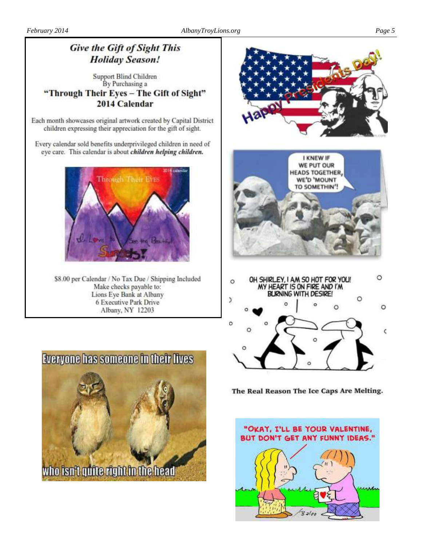### **Give the Gift of Sight This Holiday Season!**

#### **Support Blind Children** By Purchasing a "Through Their Eyes - The Gift of Sight" 2014 Calendar

Each month showcases original artwork created by Capital District children expressing their appreciation for the gift of sight.

Every calendar sold benefits underprivileged children in need of eye care. This calendar is about children helping children.



\$8.00 per Calendar / No Tax Due / Shipping Included Make checks payable to: Lions Eye Bank at Albany 6 Executive Park Drive Albany, NY 12203





The Real Reason The Ice Caps Are Melting.